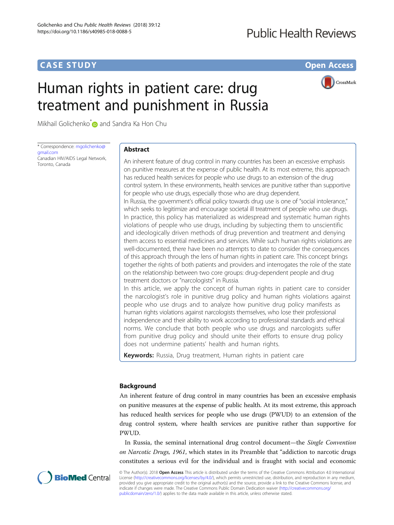# **CASE STUDY CASE STUDY Open Access**

CrossMark

# Human rights in patient care: drug treatment and punishment in Russia

Mikhail Golichenko<sup>\*</sup> and Sandra Ka Hon Chu

\* Correspondence: [mgolichenko@](mailto:mgolichenko@gmail.com) [gmail.com](mailto:mgolichenko@gmail.com) Canadian HIV/AIDS Legal Network, Toronto, Canada

# Abstract

An inherent feature of drug control in many countries has been an excessive emphasis on punitive measures at the expense of public health. At its most extreme, this approach has reduced health services for people who use drugs to an extension of the drug control system. In these environments, health services are punitive rather than supportive for people who use drugs, especially those who are drug dependent.

In Russia, the government's official policy towards drug use is one of "social intolerance," which seeks to legitimize and encourage societal ill treatment of people who use drugs. In practice, this policy has materialized as widespread and systematic human rights violations of people who use drugs, including by subjecting them to unscientific and ideologically driven methods of drug prevention and treatment and denying them access to essential medicines and services. While such human rights violations are well-documented, there have been no attempts to date to consider the consequences of this approach through the lens of human rights in patient care. This concept brings together the rights of both patients and providers and interrogates the role of the state on the relationship between two core groups: drug-dependent people and drug treatment doctors or "narcologists" in Russia.

In this article, we apply the concept of human rights in patient care to consider the narcologist's role in punitive drug policy and human rights violations against people who use drugs and to analyze how punitive drug policy manifests as human rights violations against narcologists themselves, who lose their professional independence and their ability to work according to professional standards and ethical norms. We conclude that both people who use drugs and narcologists suffer from punitive drug policy and should unite their efforts to ensure drug policy does not undermine patients' health and human rights.

Keywords: Russia, Drug treatment, Human rights in patient care

# Background

An inherent feature of drug control in many countries has been an excessive emphasis on punitive measures at the expense of public health. At its most extreme, this approach has reduced health services for people who use drugs (PWUD) to an extension of the drug control system, where health services are punitive rather than supportive for PWUD.

In Russia, the seminal international drug control document—the Single Convention on Narcotic Drugs, 1961, which states in its Preamble that "addiction to narcotic drugs constitutes a serious evil for the individual and is fraught with social and economic



© The Author(s). 2018 Open Access This article is distributed under the terms of the Creative Commons Attribution 4.0 International License ([http://creativecommons.org/licenses/by/4.0/\)](http://creativecommons.org/licenses/by/4.0/), which permits unrestricted use, distribution, and reproduction in any medium, provided you give appropriate credit to the original author(s) and the source, provide a link to the Creative Commons license, and indicate if changes were made. The Creative Commons Public Domain Dedication waiver ([http://creativecommons.org/](http://creativecommons.org/publicdomain/zero/1.0/) [publicdomain/zero/1.0/\)](http://creativecommons.org/publicdomain/zero/1.0/) applies to the data made available in this article, unless otherwise stated.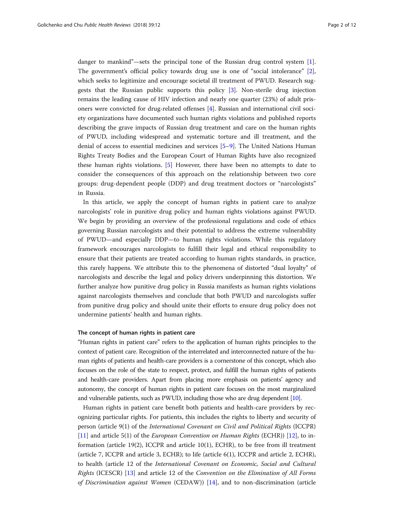danger to mankind"—sets the principal tone of the Russian drug control system [\[1](#page-9-0)]. The government's official policy towards drug use is one of "social intolerance" [\[2](#page-9-0)], which seeks to legitimize and encourage societal ill treatment of PWUD. Research suggests that the Russian public supports this policy [[3\]](#page-9-0). Non-sterile drug injection remains the leading cause of HIV infection and nearly one quarter (23%) of adult prisoners were convicted for drug-related offenses [\[4](#page-9-0)]. Russian and international civil society organizations have documented such human rights violations and published reports describing the grave impacts of Russian drug treatment and care on the human rights of PWUD, including widespread and systematic torture and ill treatment, and the denial of access to essential medicines and services [\[5](#page-9-0)–[9\]](#page-9-0). The United Nations Human Rights Treaty Bodies and the European Court of Human Rights have also recognized these human rights violations. [[5\]](#page-9-0) However, there have been no attempts to date to consider the consequences of this approach on the relationship between two core groups: drug-dependent people (DDP) and drug treatment doctors or "narcologists" in Russia.

In this article, we apply the concept of human rights in patient care to analyze narcologists' role in punitive drug policy and human rights violations against PWUD. We begin by providing an overview of the professional regulations and code of ethics governing Russian narcologists and their potential to address the extreme vulnerability of PWUD—and especially DDP—to human rights violations. While this regulatory framework encourages narcologists to fulfill their legal and ethical responsibility to ensure that their patients are treated according to human rights standards, in practice, this rarely happens. We attribute this to the phenomena of distorted "dual loyalty" of narcologists and describe the legal and policy drivers underpinning this distortion. We further analyze how punitive drug policy in Russia manifests as human rights violations against narcologists themselves and conclude that both PWUD and narcologists suffer from punitive drug policy and should unite their efforts to ensure drug policy does not undermine patients' health and human rights.

## The concept of human rights in patient care

"Human rights in patient care" refers to the application of human rights principles to the context of patient care. Recognition of the interrelated and interconnected nature of the human rights of patients and health-care providers is a cornerstone of this concept, which also focuses on the role of the state to respect, protect, and fulfill the human rights of patients and health-care providers. Apart from placing more emphasis on patients' agency and autonomy, the concept of human rights in patient care focuses on the most marginalized and vulnerable patients, such as PWUD, including those who are drug dependent [\[10](#page-9-0)].

Human rights in patient care benefit both patients and health-care providers by recognizing particular rights. For patients, this includes the rights to liberty and security of person (article 9(1) of the International Covenant on Civil and Political Rights (ICCPR) [[11\]](#page-9-0) and article 5(1) of the European Convention on Human Rights (ECHR)) [[12](#page-9-0)], to information (article 19(2), ICCPR and article  $10(1)$ , ECHR), to be free from ill treatment (article 7, ICCPR and article 3, ECHR); to life (article 6(1), ICCPR and article 2, ECHR), to health (article 12 of the International Covenant on Economic, Social and Cultural Rights (ICESCR) [[13\]](#page-9-0) and article 12 of the Convention on the Elimination of All Forms of Discrimination against Women (CEDAW)) [[14\]](#page-9-0), and to non-discrimination (article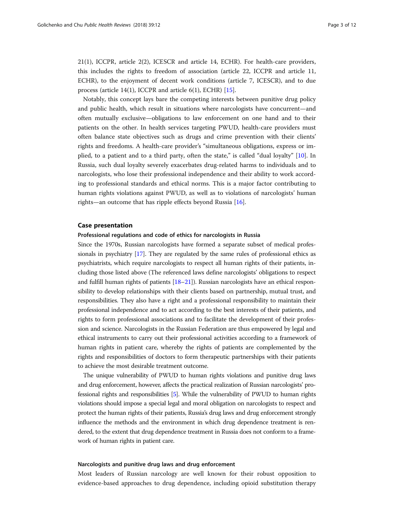21(1), ICCPR, article 2(2), ICESCR and article 14, ECHR). For health-care providers, this includes the rights to freedom of association (article 22, ICCPR and article 11, ECHR), to the enjoyment of decent work conditions (article 7, ICESCR), and to due process (article 14(1), ICCPR and article 6(1), ECHR) [[15\]](#page-9-0).

Notably, this concept lays bare the competing interests between punitive drug policy and public health, which result in situations where narcologists have concurrent—and often mutually exclusive—obligations to law enforcement on one hand and to their patients on the other. In health services targeting PWUD, health-care providers must often balance state objectives such as drugs and crime prevention with their clients' rights and freedoms. A health-care provider's "simultaneous obligations, express or implied, to a patient and to a third party, often the state," is called "dual loyalty" [\[10](#page-9-0)]. In Russia, such dual loyalty severely exacerbates drug-related harms to individuals and to narcologists, who lose their professional independence and their ability to work according to professional standards and ethical norms. This is a major factor contributing to human rights violations against PWUD, as well as to violations of narcologists' human rights—an outcome that has ripple effects beyond Russia [\[16\]](#page-9-0).

### Case presentation

# Professional regulations and code of ethics for narcologists in Russia

Since the 1970s, Russian narcologists have formed a separate subset of medical professionals in psychiatry [\[17](#page-9-0)]. They are regulated by the same rules of professional ethics as psychiatrists, which require narcologists to respect all human rights of their patients, including those listed above (The referenced laws define narcologists' obligations to respect and fulfill human rights of patients [[18](#page-9-0)–[21\]](#page-9-0)). Russian narcologists have an ethical responsibility to develop relationships with their clients based on partnership, mutual trust, and responsibilities. They also have a right and a professional responsibility to maintain their professional independence and to act according to the best interests of their patients, and rights to form professional associations and to facilitate the development of their profession and science. Narcologists in the Russian Federation are thus empowered by legal and ethical instruments to carry out their professional activities according to a framework of human rights in patient care, whereby the rights of patients are complemented by the rights and responsibilities of doctors to form therapeutic partnerships with their patients to achieve the most desirable treatment outcome.

The unique vulnerability of PWUD to human rights violations and punitive drug laws and drug enforcement, however, affects the practical realization of Russian narcologists' professional rights and responsibilities [[5](#page-9-0)]. While the vulnerability of PWUD to human rights violations should impose a special legal and moral obligation on narcologists to respect and protect the human rights of their patients, Russia's drug laws and drug enforcement strongly influence the methods and the environment in which drug dependence treatment is rendered, to the extent that drug dependence treatment in Russia does not conform to a framework of human rights in patient care.

# Narcologists and punitive drug laws and drug enforcement

Most leaders of Russian narcology are well known for their robust opposition to evidence-based approaches to drug dependence, including opioid substitution therapy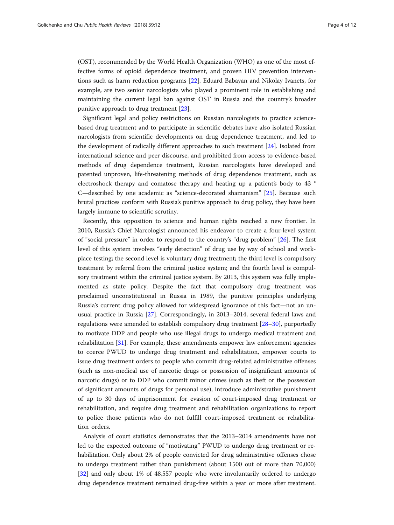(OST), recommended by the World Health Organization (WHO) as one of the most effective forms of opioid dependence treatment, and proven HIV prevention interventions such as harm reduction programs [[22](#page-10-0)]. Eduard Babayan and Nikolay Ivanets, for example, are two senior narcologists who played a prominent role in establishing and maintaining the current legal ban against OST in Russia and the country's broader punitive approach to drug treatment [[23](#page-10-0)].

Significant legal and policy restrictions on Russian narcologists to practice sciencebased drug treatment and to participate in scientific debates have also isolated Russian narcologists from scientific developments on drug dependence treatment, and led to the development of radically different approaches to such treatment [\[24](#page-10-0)]. Isolated from international science and peer discourse, and prohibited from access to evidence-based methods of drug dependence treatment, Russian narcologists have developed and patented unproven, life-threatening methods of drug dependence treatment, such as electroshock therapy and comatose therapy and heating up a patient's body to 43 ° C—described by one academic as "science-decorated shamanism" [\[25](#page-10-0)]. Because such brutal practices conform with Russia's punitive approach to drug policy, they have been largely immune to scientific scrutiny.

Recently, this opposition to science and human rights reached a new frontier. In 2010, Russia's Chief Narcologist announced his endeavor to create a four-level system of "social pressure" in order to respond to the country's "drug problem" [\[26](#page-10-0)]. The first level of this system involves "early detection" of drug use by way of school and workplace testing; the second level is voluntary drug treatment; the third level is compulsory treatment by referral from the criminal justice system; and the fourth level is compulsory treatment within the criminal justice system. By 2013, this system was fully implemented as state policy. Despite the fact that compulsory drug treatment was proclaimed unconstitutional in Russia in 1989, the punitive principles underlying Russia's current drug policy allowed for widespread ignorance of this fact—not an unusual practice in Russia [\[27\]](#page-10-0). Correspondingly, in 2013–2014, several federal laws and regulations were amended to establish compulsory drug treatment [[28](#page-10-0)–[30](#page-10-0)], purportedly to motivate DDP and people who use illegal drugs to undergo medical treatment and rehabilitation [\[31\]](#page-10-0). For example, these amendments empower law enforcement agencies to coerce PWUD to undergo drug treatment and rehabilitation, empower courts to issue drug treatment orders to people who commit drug-related administrative offenses (such as non-medical use of narcotic drugs or possession of insignificant amounts of narcotic drugs) or to DDP who commit minor crimes (such as theft or the possession of significant amounts of drugs for personal use), introduce administrative punishment of up to 30 days of imprisonment for evasion of court-imposed drug treatment or rehabilitation, and require drug treatment and rehabilitation organizations to report to police those patients who do not fulfill court-imposed treatment or rehabilitation orders.

Analysis of court statistics demonstrates that the 2013–2014 amendments have not led to the expected outcome of "motivating" PWUD to undergo drug treatment or rehabilitation. Only about 2% of people convicted for drug administrative offenses chose to undergo treatment rather than punishment (about 1500 out of more than 70,000) [[32\]](#page-10-0) and only about 1% of 48,557 people who were involuntarily ordered to undergo drug dependence treatment remained drug-free within a year or more after treatment.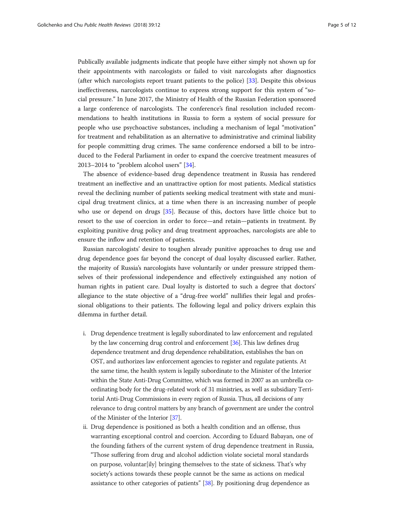Publically available judgments indicate that people have either simply not shown up for their appointments with narcologists or failed to visit narcologists after diagnostics (after which narcologists report truant patients to the police) [[33\]](#page-10-0). Despite this obvious ineffectiveness, narcologists continue to express strong support for this system of "social pressure." In June 2017, the Ministry of Health of the Russian Federation sponsored a large conference of narcologists. The conference's final resolution included recommendations to health institutions in Russia to form a system of social pressure for people who use psychoactive substances, including a mechanism of legal "motivation" for treatment and rehabilitation as an alternative to administrative and criminal liability for people committing drug crimes. The same conference endorsed a bill to be introduced to the Federal Parliament in order to expand the coercive treatment measures of 2013–2014 to "problem alcohol users" [[34\]](#page-10-0).

The absence of evidence-based drug dependence treatment in Russia has rendered treatment an ineffective and an unattractive option for most patients. Medical statistics reveal the declining number of patients seeking medical treatment with state and municipal drug treatment clinics, at a time when there is an increasing number of people who use or depend on drugs [[35\]](#page-10-0). Because of this, doctors have little choice but to resort to the use of coercion in order to force—and retain—patients in treatment. By exploiting punitive drug policy and drug treatment approaches, narcologists are able to ensure the inflow and retention of patients.

Russian narcologists' desire to toughen already punitive approaches to drug use and drug dependence goes far beyond the concept of dual loyalty discussed earlier. Rather, the majority of Russia's narcologists have voluntarily or under pressure stripped themselves of their professional independence and effectively extinguished any notion of human rights in patient care. Dual loyalty is distorted to such a degree that doctors' allegiance to the state objective of a "drug-free world" nullifies their legal and professional obligations to their patients. The following legal and policy drivers explain this dilemma in further detail.

- i. Drug dependence treatment is legally subordinated to law enforcement and regulated by the law concerning drug control and enforcement [\[36\]](#page-10-0). This law defines drug dependence treatment and drug dependence rehabilitation, establishes the ban on OST, and authorizes law enforcement agencies to register and regulate patients. At the same time, the health system is legally subordinate to the Minister of the Interior within the State Anti-Drug Committee, which was formed in 2007 as an umbrella coordinating body for the drug-related work of 31 ministries, as well as subsidiary Territorial Anti-Drug Commissions in every region of Russia. Thus, all decisions of any relevance to drug control matters by any branch of government are under the control of the Minister of the Interior [[37](#page-10-0)].
- ii. Drug dependence is positioned as both a health condition and an offense, thus warranting exceptional control and coercion. According to Eduard Babayan, one of the founding fathers of the current system of drug dependence treatment in Russia, "Those suffering from drug and alcohol addiction violate societal moral standards on purpose, voluntar[ily] bringing themselves to the state of sickness. That's why society's actions towards these people cannot be the same as actions on medical assistance to other categories of patients" [[38](#page-10-0)]. By positioning drug dependence as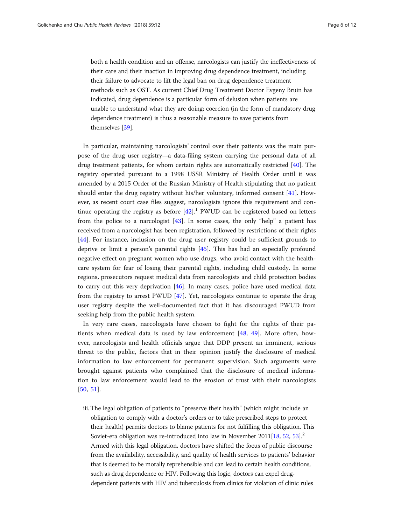both a health condition and an offense, narcologists can justify the ineffectiveness of their care and their inaction in improving drug dependence treatment, including their failure to advocate to lift the legal ban on drug dependence treatment methods such as OST. As current Chief Drug Treatment Doctor Evgeny Bruin has indicated, drug dependence is a particular form of delusion when patients are unable to understand what they are doing; coercion (in the form of mandatory drug dependence treatment) is thus a reasonable measure to save patients from themselves [\[39\]](#page-10-0).

In particular, maintaining narcologists' control over their patients was the main purpose of the drug user registry—a data-filing system carrying the personal data of all drug treatment patients, for whom certain rights are automatically restricted [[40\]](#page-10-0). The registry operated pursuant to a 1998 USSR Ministry of Health Order until it was amended by a 2015 Order of the Russian Ministry of Health stipulating that no patient should enter the drug registry without his/her voluntary, informed consent [[41\]](#page-10-0). However, as recent court case files suggest, narcologists ignore this requirement and continue operating the registry as before  $[42]$ .<sup>1</sup> PWUD can be registered based on letters from the police to a narcologist [\[43](#page-10-0)]. In some cases, the only "help" a patient has received from a narcologist has been registration, followed by restrictions of their rights [[44\]](#page-10-0). For instance, inclusion on the drug user registry could be sufficient grounds to deprive or limit a person's parental rights [\[45\]](#page-10-0). This has had an especially profound negative effect on prеgnant women who use drugs, who avoid contact with the healthcare system for fear of losing their parental rights, including child custody. In some regions, prosecutors request medical data from narcologists and child protection bodies to carry out this very deprivation [[46](#page-10-0)]. In many cases, police have used medical data from the registry to arrest PWUD [[47](#page-10-0)]. Yet, narcologists continue to operate the drug user registry despite the well-documented fact that it has discouraged PWUD from seeking help from the public health system.

In very rare cases, narcologists have chosen to fight for the rights of their patients when medical data is used by law enforcement [[48,](#page-10-0) [49\]](#page-10-0). More often, however, narcologists and health officials argue that DDP present an imminent, serious threat to the public, factors that in their opinion justify the disclosure of medical information to law enforcement for permanent supervision. Such arguments were brought against patients who complained that the disclosure of medical information to law enforcement would lead to the erosion of trust with their narcologists [[50,](#page-10-0) [51](#page-10-0)].

iii. The legal obligation of patients to "preserve their health" (which might include an obligation to comply with a doctor's orders or to take prescribed steps to protect their health) permits doctors to blame patients for not fulfilling this obligation. This Soviet-era obligation was re-introduced into law in November 2011[[18,](#page-9-0) [52](#page-10-0), [53\]](#page-10-0).<sup>2</sup> Armed with this legal obligation, doctors have shifted the focus of public discourse from the availability, accessibility, and quality of health services to patients' behavior that is deemed to be morally reprehensible and can lead to certain health conditions, such as drug dependence or HIV. Following this logic, doctors can expel drugdependent patients with HIV and tuberculosis from clinics for violation of clinic rules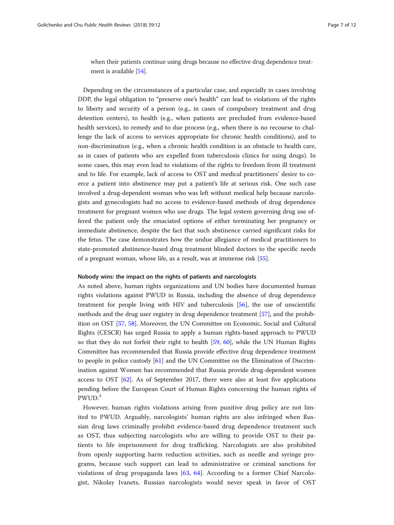when their patients continue using drugs because no effective drug dependence treat-ment is available [\[54](#page-10-0)].

Depending on the circumstances of a particular case, and especially in cases involving DDP, the legal obligation to "preserve one's health" can lead to violations of the rights to liberty and security of a person (e.g., in cases of compulsory treatment and drug detention centers), to health (e.g., when patients are precluded from evidence-based health services), to remedy and to due process (e.g., when there is no recourse to challenge the lack of access to services appropriate for chronic health conditions), and to non-discrimination (e.g., when a chronic health condition is an obstacle to health care, as in cases of patients who are expelled from tuberculosis clinics for using drugs). In some cases, this may even lead to violations of the rights to freedom from ill treatment and to life. For example, lack of access to OST and medical practitioners' desire to coerce a patient into abstinence may put a patient's life at serious risk. One such case involved a drug-dependent woman who was left without medical help because narcologists and gynecologists had no access to evidence-based methods of drug dependence treatment for pregnant women who use drugs. The legal system governing drug use offered the patient only the emaciated options of either terminating her pregnancy or immediate abstinence, despite the fact that such abstinence carried significant risks for the fetus. The case demonstrates how the undue allegiance of medical practitioners to state-promoted abstinence-based drug treatment blinded doctors to the specific needs of a pregnant woman, whose life, as a result, was at immense risk [\[55](#page-10-0)].

# Nobody wins: the impact on the rights of patients and narcologists

As noted above, human rights organizations and UN bodies have documented human rights violations against PWUD in Russia, including the absence of drug dependence treatment for people living with HIV and tuberculosis [\[56\]](#page-10-0), the use of unscientific methods and the drug user registry in drug dependence treatment [\[57](#page-10-0)], and the prohibition on OST [[57](#page-10-0), [58\]](#page-10-0). Moreover, the UN Committee on Economic, Social and Cultural Rights (CESCR) has urged Russia to apply a human rights-based approach to PWUD so that they do not forfeit their right to health [[59,](#page-10-0) [60](#page-10-0)], while the UN Human Rights Committee has recommended that Russia provide effective drug dependence treatment to people in police custody [[61](#page-10-0)] and the UN Committee on the Elimination of Discrimination against Women has recommended that Russia provide drug-dependent women access to OST [\[62](#page-11-0)]. As of September 2017, there were also at least five applications pending before the European Court of Human Rights concerning the human rights of PWUD.<sup>3</sup>

However, human rights violations arising from punitive drug policy are not limited to PWUD. Arguably, narcologists' human rights are also infringed when Russian drug laws criminally prohibit evidence-based drug dependence treatment such as OST, thus subjecting narcologists who are willing to provide OST to their patients to life imprisonment for drug trafficking. Narcologists are also prohibited from openly supporting harm reduction activities, such as needle and syringe programs, because such support can lead to administrative or criminal sanctions for violations of drug propaganda laws [\[63](#page-11-0), [64\]](#page-11-0). According to a former Chief Narcologist, Nikolay Ivanets, Russian narcologists would never speak in favor of OST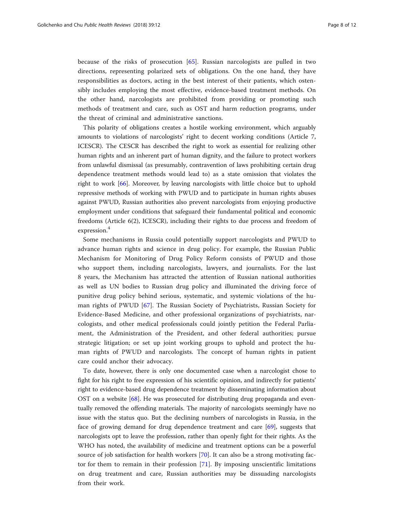because of the risks of prosecution [[65\]](#page-11-0). Russian narcologists are pulled in two directions, representing polarized sets of obligations. On the one hand, they have responsibilities as doctors, acting in the best interest of their patients, which ostensibly includes employing the most effective, evidence-based treatment methods. On the other hand, narcologists are prohibited from providing or promoting such methods of treatment and care, such as OST and harm reduction programs, under the threat of criminal and administrative sanctions.

This polarity of obligations creates a hostile working environment, which arguably amounts to violations of narcologists' right to decent working conditions (Article 7, ICESCR). The CESCR has described the right to work as essential for realizing other human rights and an inherent part of human dignity, and the failure to protect workers from unlawful dismissal (as presumably, contravention of laws prohibiting certain drug dependence treatment methods would lead to) as a state omission that violates the right to work [\[66\]](#page-11-0). Moreover, by leaving narcologists with little choice but to uphold repressive methods of working with PWUD and to participate in human rights abuses against PWUD, Russian authorities also prevent narcologists from enjoying productive employment under conditions that safeguard their fundamental political and economic freedoms (Article 6(2), ICESCR), including their rights to due process and freedom of expression.<sup>4</sup>

Some mechanisms in Russia could potentially support narcologists and PWUD to advance human rights and science in drug policy. For example, the Russian Public Mechanism for Monitoring of Drug Policy Reform consists of PWUD and those who support them, including narcologists, lawyers, and journalists. For the last 8 years, the Mechanism has attracted the attention of Russian national authorities as well as UN bodies to Russian drug policy and illuminated the driving force of punitive drug policy behind serious, systematic, and systemic violations of the human rights of PWUD [[67\]](#page-11-0). The Russian Society of Psychiatrists, Russian Society for Evidence-Based Medicine, and other professional organizations of psychiatrists, narcologists, and other medical professionals could jointly petition the Federal Parliament, the Administration of the President, and other federal authorities; pursue strategic litigation; or set up joint working groups to uphold and protect the human rights of PWUD and narcologists. The concept of human rights in patient care could anchor their advocacy.

To date, however, there is only one documented case when a narcologist chose to fight for his right to free expression of his scientific opinion, and indirectly for patients' right to evidence-based drug dependence treatment by disseminating information about OST on a website [\[68](#page-11-0)]. He was prosecuted for distributing drug propaganda and eventually removed the offending materials. The majority of narcologists seemingly have no issue with the status quo. But the declining numbers of narcologists in Russia, in the face of growing demand for drug dependence treatment and care [\[69\]](#page-11-0), suggests that narcologists opt to leave the profession, rather than openly fight for their rights. As the WHO has noted, the availability of medicine and treatment options can be a powerful source of job satisfaction for health workers [[70](#page-11-0)]. It can also be a strong motivating factor for them to remain in their profession [[71\]](#page-11-0). By imposing unscientific limitations on drug treatment and care, Russian authorities may be dissuading narcologists from their work.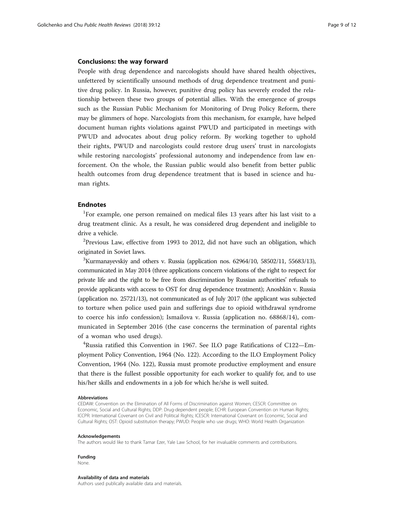# Conclusions: the way forward

People with drug dependence and narcologists should have shared health objectives, unfettered by scientifically unsound methods of drug dependence treatment and punitive drug policy. In Russia, however, punitive drug policy has severely eroded the relationship between these two groups of potential allies. With the emergence of groups such as the Russian Public Mechanism for Monitoring of Drug Policy Reform, there may be glimmers of hope. Narcologists from this mechanism, for example, have helped document human rights violations against PWUD and participated in meetings with PWUD and advocates about drug policy reform. By working together to uphold their rights, PWUD and narcologists could restore drug users' trust in narcologists while restoring narcologists' professional autonomy and independence from law enforcement. On the whole, the Russian public would also benefit from better public health outcomes from drug dependence treatment that is based in science and human rights.

# Endnotes

<sup>1</sup>For example, one person remained on medical files 13 years after his last visit to a drug treatment clinic. As a result, he was considered drug dependent and ineligible to drive a vehicle.

 $2$ Previous Law, effective from 1993 to 2012, did not have such an obligation, which originated in Soviet laws.

 $3$ Kurmanayevskiy and others v. Russia (application nos. 62964/10, 58502/11, 55683/13), communicated in May 2014 (three applications concern violations of the right to respect for private life and the right to be free from discrimination by Russian authorities' refusals to provide applicants with access to OST for drug dependence treatment); Anoshkin v. Russia (application no. 25721/13), not communicated as of July 2017 (the applicant was subjected to torture when police used pain and sufferings due to opioid withdrawal syndrome to coerce his info confession); Ismailova v. Russia (application no. 68868/14), communicated in September 2016 (the case concerns the termination of parental rights of a woman who used drugs).

<sup>4</sup>Russia ratified this Convention in 1967. See ILO page Ratifications of C122-Employment Policy Convention, 1964 (No. 122). According to the ILO Employment Policy Convention, 1964 (No. 122), Russia must promote productive employment and ensure that there is the fullest possible opportunity for each worker to qualify for, and to use his/her skills and endowments in a job for which he/she is well suited.

#### Abbreviations

CEDAW: Convention on the Elimination of All Forms of Discrimination against Women; CESCR: Committee on Economic, Social and Cultural Rights; DDP: Drug-dependent people; ECHR: European Convention on Human Rights; ICCPR: International Covenant on Civil and Political Rights; ICESCR: International Covenant on Economic, Social and Cultural Rights; OST: Opioid substitution therapy; PWUD: People who use drugs; WHO: World Health Organization

#### Acknowledgements

The authors would like to thank Tamar Ezer, Yale Law School, for her invaluable comments and contributions.

#### Funding None.

Availability of data and materials

Authors used publically available data and materials.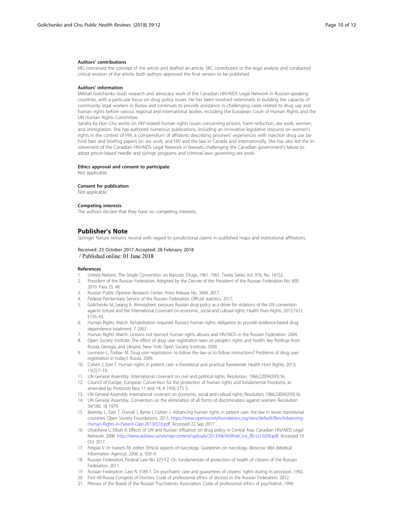#### <span id="page-9-0"></span>Authors' contributions

MG conceived the concept of the article and drafted an article; SKC contributed to the legal analysis and conducted critical revision of the article; both authors approved the final version to be published.

#### Authors' information

Mikhail Golichenko leads research and advocacy work of the Canadian HIV/AIDS Legal Network in Russian-speaking countries, with a particular focus on drug policy issues. He has been involved extensively in building the capacity of community legal workers in Russia and continues to provide assistance in challenging cases related to drug use and human rights before various regional and international bodies, including the European Court of Human Rights and the UN Human Rights Committee.

Sandra Ka Hon Chu works on HIV-related human rights issues concerning prisons, harm reduction, sex work, women, and immigration. She has authored numerous publications, including an innovative legislative resource on women's rights in the context of HIV, a compendium of affidavits describing prisoners' experiences with injection drug use behind bars and briefing papers on sex work, and HIV and the law in Canada and internationally. She has also led the involvement of the Canadian HIV/AIDS Legal Network in lawsuits challenging the Canadian government's failure to adopt prison-based needle and syringe programs and criminal laws governing sex work.

## Ethics approval and consent to participate

Not applicable.

#### Consent for publication

Not applicable.

#### Competing interests

The authors declare that they have no competing interests.

# Publisher's Note

Springer Nature remains neutral with regard to jurisdictional claims in published maps and institutional affiliations.

## Received: 23 October 2017 Accepted: 28 February 2018 / Published online: 01 June 2018

#### References

- 1. United Nations. The Single Convention on Narcotic Drugs, 1961. 1961. Treaty Series Vol. 976, No. 14152.
- 2. President of the Russian Federation. Adopted by the Decree of the President of the Russian Federation No. 690. 2010. Para 23, 48.
- 3. Russian Public Opinion Research Center. Press Release No. 3404. 2017.
- 4. Federal Penitentiary Service of the Russian Federation. Official statistics. 2017.
- 5. Golichenko M, Sarang A. Atmospheric pressure: Russian drug policy as a driver for violations of the UN convention against torture and the International Covenant on economic, social and cultural rights. Health Hum Rights. 2013;15(1): E135–43.
- 6. Human Rights Watch. Rehabilitation required. Russia's human rights obligation to provide evidence-based drug dependence treatment. 7 2007.
- 7. Human Rights Watch. Lessons not learned: human rights abuses and HIV/AIDS in the Russian Federation. 2004.
- 8. Open Society Institute. The effect of drug user registration laws on people's rights and health: key findings from Russia, Georgia, and Ukraine. New York: Open Society Institute; 2009.
- 9. Levinson L, Torban M. Drug user registration: to follow the law or to follow instructions? Problems of drug user registration in today's Russia. 2009.
- 10. Cohen J, Ezer T. Human rights in patient care: a theoretical and practical framework. Health Hum Rights. 2013; 15(2):7–19.
- 11. UN General Assembly. International covenant on civil and political rights. Resolution. 1966;2200A(XXI):16.
- 12. Council of Europe, European Convention for the protection of human rights and fundamental freedoms, as amended by Protocols Nos. 11 and 14, 4 1950, ETS 5.
- 13. UN General Assembly. International covenant on economic, social and cultural rights. Resolution. 1966;2200A(XXI):16.
- 14. UN General Assembly. Convention on the elimination of all forms of discrimination against women. Resolution 34/180. 18 1979.
- 15. Beletsky L, Ezer T, Overall J, Byrne I, Cohen J. Advancing human rights in patient care: the law in seven transitional countries. Open Society Foundations. 2013. [https://www.opensocietyfoundations.org/sites/default/files/Advancing-](https://www.opensocietyfoundations.org/sites/default/files/Advancing-Human-Rights-in-Patient-Care-20130516.pdf)[Human-Rights-in-Patient-Care-20130516.pdf](https://www.opensocietyfoundations.org/sites/default/files/Advancing-Human-Rights-in-Patient-Care-20130516.pdf). Accessed 22 Sep 2017.
- 16. Utyasheva L, Elliott R. Effects of UN and Russian influence on drug policy in Central Asia. Canadian HIV/AIDS Legal Network. 2008. [http://www.aidslaw.ca/site/wp-content/uploads/2013/04/AtWhatCost\\_RE-LU-0209.pdf.](http://www.aidslaw.ca/site/wp-content/uploads/2013/04/AtWhatCost_RE-LU-0209.pdf) Accessed 19 Oct 2017.
- 17. Pelipas V. In: Ivanets NI, editor. Ethical aspects of narcology. Guidelines on narcology. Moscow: MIA (Medical Information Agency); 2008. p. 920–9.
- 18. Russian Federation. Federal Law No 323-FZ. On fundamentals of protection of health of citizens of the Russian Federation. 2011.
- 19. Russian Federation. Law N 3185-1. Оn psychiatric care and guarantees of citizens' rights during its provision. 1992.
- 20. First All-Russia Congress of Doctors. Code of professional ethics of doctors in the Russian Federation. 2012.
- 21. Plenary of the Board of the Russian Psychiatrists Association. Code of professional ethics of psychiatrist. 1994.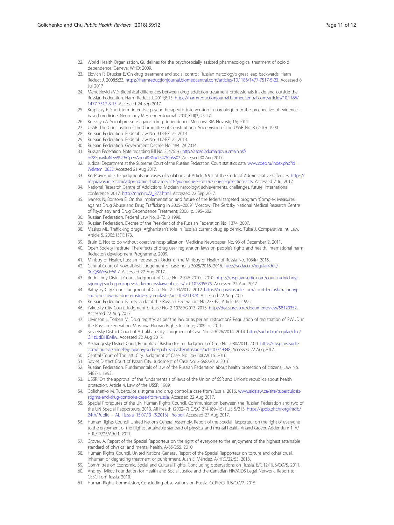- <span id="page-10-0"></span>22. World Health Organization. Guidelines for the psychosocially assisted pharmacological treatment of opioid dependence. Geneva: WHO; 2009.
- 23. Elovich R, Drucker E. On drug treatment and social control: Russian narcology's great leap backwards. Harm Reduct J. 2008;5:23. <https://harmreductionjournal.biomedcentral.com/articles/10.1186/1477-7517-5-23>. Accessed 8 Jul 2017
- 24. Mendelevich VD. Bioethical differences between drug addiction treatment professionals inside and outside the Russian Federation. Harm Reduct J. 2011;8:15. [https://harmreductionjournal.biomedcentral.com/articles/10.1186/](https://harmreductionjournal.biomedcentral.com/articles/10.1186/1477-7517-8-15) [1477-7517-8-15](https://harmreductionjournal.biomedcentral.com/articles/10.1186/1477-7517-8-15). Accessed 24 Sep 2017
- 25. Krupitsky E. Short-term intensive psychotherapeutic intervention in narcologi from the prospective of evidence– based medicine. Neurology Messenger Journal. 2010;XLII(3):25-27.
- 26. Kurskaya A. Social pressure against drug dependence. Moscow: RIA Novosti; 16; 2011.
- 27. USSR. The Conclusion of the Committee of Constitutional Supervision of the USSR No. 8 (2-10). 1990.
- 28. Russian Federation. Federal Law No. 313-FZ. 25 2013.
- 29. Russian Federation. Federal Law No. 317-FZ. 25 2013.
- 30. Russian Federation. Government Decree No. 484. 28 2014.
- 31. Russian Federation. Note regarding Bill No. 254761-6. [http://asozd2.duma.gov.ru/main.nsf/](http://asozd2.duma.gov.ru/main.nsf/%28SpravkaNew%29?OpenAgent&RN=254761-6&02)
- [%28SpravkaNew%29?OpenAgent&RN=254761-6&02](http://asozd2.duma.gov.ru/main.nsf/%28SpravkaNew%29?OpenAgent&RN=254761-6&02). Accessed 30 Aug 2017.
- 32. Judicial Department at the Supreme Court of the Russian Federation. Court statistics data. [www.cdep.ru/index.php?id=](http://www.cdep.ru/index.php?id=79&item=3832) [79&item=3832.](http://www.cdep.ru/index.php?id=79&item=3832) Accessed 21 Aug 2017.
- 33. RosPravosudie. 62 judgments on cases of violations of Article 6.9.1 of the Code of Administrative Offences. [https://](https://rospravosudie.com/vidpr-administrativnoe/act-%22%D1%83%D0%BA%D0%BB%D0%BE%D0%BD%D0%B5%D0%BD%D0%B8%D0%B5+%D0%BE%D1%82+%D0%BB%D0%B5%D1%87%D0%B5%D0%BD%D0%B8%D1%8F%22-q/section-acts) [rospravosudie.com/vidpr-administrativnoe/act-"](https://rospravosudie.com/vidpr-administrativnoe/act-%22%D1%83%D0%BA%D0%BB%D0%BE%D0%BD%D0%B5%D0%BD%D0%B8%D0%B5+%D0%BE%D1%82+%D0%BB%D0%B5%D1%87%D0%B5%D0%BD%D0%B8%D1%8F%22-q/section-acts)уклонение+от+лечения"-q/section-acts. Accessed 7 Jul 2017.
- 34. National Research Centre of Addictions. Modern narcology: achievements, challenges, future. International conference. 2017. [http://nncn.ru/2\\_877.html](http://nncn.ru/2_877.html). Accessed 22 Sep 2017.
- 35. Ivanets N, Borisova E. On the implementation and future of the federal targeted program 'Complex Measures against Drug Abuse and Drug Trafficking in 2005–2009'. Moscow: The Serbsky National Medical Research Centre of Psychiatry and Drug Dependence Treatment; 2006. p. 595–602.
- 36. Russian Federation. Federal Law No. 3-FZ. 8 1998.
- 37. Russian Federation. Decree of the President of the Russian Federation No. 1374. 2007.
- 38. Maskas ML. Trafficking drugs: Afghanistan's role in Russia's current drug epidemic. Tulsa J. Comparative Int. Law. Article 5. 2005;13(1):173.
- 39. Bruin E. Not to do without coercive hospitalization. Medicine Newspaper. No. 93 of December 2, 2011.
- 40. Open Society Institute. The effects of drug user registration laws on people's rights and health. International harm Reducton development Programme. 2009.
- 41. Ministry of Health, Russian Federation. Order of the Ministry of Health of Russia No. 1034н. 2015.
- 42. Central Court of Novosibirsk. Judgement of case no. а-3025/2016. 2016. [http://sudact.ru/regular/doc/](http://sudact.ru/regular/doc/0diQ8WnydeWT/) [0diQ8WnydeWT/](http://sudact.ru/regular/doc/0diQ8WnydeWT/). Accessed 22 Aug 2017.
- 43. Rudnichny District Court. Judgment of Case No. 2-746-2010г. 2010. [https://rospravosudie.com/court-rudnichnyj](https://rospravosudie.com/court-rudnichnyj-rajonnyj-sud-g-prokopevska-kemerovskaya-oblast-s/act-102895575/)[rajonnyj-sud-g-prokopevska-kemerovskaya-oblast-s/act-102895575.](https://rospravosudie.com/court-rudnichnyj-rajonnyj-sud-g-prokopevska-kemerovskaya-oblast-s/act-102895575/) Accessed 22 Aug 2017.
- 44. Bataysky City Court. Judgment of Case No. 2-203/2012. 2012. [https://rospravosudie.com/court-leninskij-rajonnyj](https://rospravosudie.com/court-leninskij-rajonnyj-sud-g-rostova-na-donu-rostovskaya-oblast-s/act-103211374)[sud-g-rostova-na-donu-rostovskaya-oblast-s/act-103211374](https://rospravosudie.com/court-leninskij-rajonnyj-sud-g-rostova-na-donu-rostovskaya-oblast-s/act-103211374). Accessed 22 Aug 2017.
- 45. Russian Federation. Family code of the Russian Federation. No 223-FZ. Article 69. 1995.
- 46. Yakutsky City Court. Judgment of Case No. 2-10789/2013. 2013. [http://docs.pravo.ru/document/view/58129352.](http://docs.pravo.ru/document/view/58129352) Accessed 22 Aug 2017.
- 47. Levinson L, Torban M. Drug registry: as per the law or as per an instruction? Regulation of registration of PWUD in the Russian Federation. Moscow: Human Rights Institute; 2009. p. 20–1.
- 48. Sovietsky District Court of Astrakhan City. Judgment of Case No. 2-3026/2014. 2014. [http://sudact.ru/regular/doc/](http://sudact.ru/regular/doc/GI1zUdDHEMlw) [GI1zUdDHEMlw](http://sudact.ru/regular/doc/GI1zUdDHEMlw). Accessed 22 Aug 2017.
- 49. Arkhangesky District Court, Republic of Bashkortostan. Judgment of Case No. 2-80/2011. 2011. [https://rospravosudie.](https://rospravosudie.com/court-arxangelskij-rajonnyj-sud-respublika-bashkortostan-s/act-103349348) [com/court-arxangelskij-rajonnyj-sud-respublika-bashkortostan-s/act-103349348](https://rospravosudie.com/court-arxangelskij-rajonnyj-sud-respublika-bashkortostan-s/act-103349348). Accessed 22 Aug 2017.
- 50. Central Court of Togliatti City. Judgment of Case. No. 2a-6500/2016. 2016.
- 51. Soviet District Court of Kazan City. Judgment of Case No. 2-698/2012. 2016.
- 52. Russian Federation. Fundamentals of law of the Russian Federation about health protection of citizens. Law No. 5487-1. 1993.
- 53. USSR. On the approval of the fundamentals of laws of the Union of SSR and Union's republics about health protection. Article 4. Law of the USSR. 1969.
- 54. Golichenko M. Tuberculosis, stigma and drug control: a case from Russia. 2016. [www.aidslaw.ca/site/tuberculosis](http://www.aidslaw.ca/site/tuberculosis-stigma-and-drug-control-a-case-from-russia)[stigma-and-drug-control-a-case-from-russia](http://www.aidslaw.ca/site/tuberculosis-stigma-and-drug-control-a-case-from-russia). Accessed 22 Aug 2017.
- 55. Special Profedures of the UN Human Rights Council. Communication between the Russian Federation and two of the UN Special Rapporteurs. 2013. All Health (2002–7) G/SO 214 (89–15) RUS 5/213. [https://spdb.ohchr.org/hrdb/](https://spdb.ohchr.org/hrdb/24th/Public_-_AL_Russia_15.07.13_(5.2013)_Pro.pdf) 24th/Public - AL Russia 15.07.13 (5.2013) Pro.pdf. Accessed 27 Aug 2017.
- 56. Human Rights Council, United Nations General Assembly. Report of the Special Rapporteur on the right of everyone to the enjoyment of the highest attainable standard of physical and mental health, Anand Grover. Addendum 1. A/ HRC/17/25/Add.1. 2011.
- 57. Grover, A. Report of the Special Rapporteur on the right of everyone to the enjoyment of the highest attainable standard of physical and mental health. A/65/255. 2010.
- 58. Human Rights Council, United Nations General. Report of the Special Rapporteur on torture and other cruel, inhuman or degrading treatment or punishment, Juan E. Méndez. A/HRC/22/53. 2013.
- 59. Committee on Economic, Social and Cultural Rights. Concluding observations on Russia. E/C.12/RUS/CO/5. 2011. 60. Andrey Rylkov Foundation for Health and Social Justice and the Canadian HIV/AIDS Legal Network. Report to
- CESCR on Russia. 2010.
- 61. Human Rights Commission, Concluding observations on Russia. CCPR/C/RUS/CO/7. 2015.